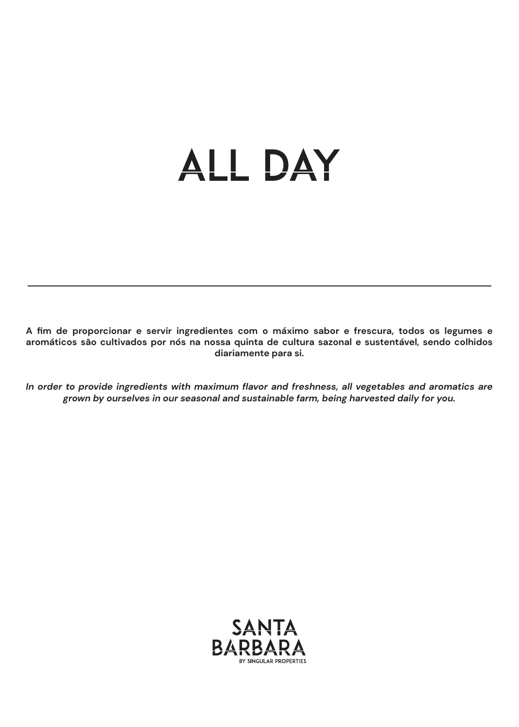# ALL DAY

**A fim de proporcionar e servir ingredientes com o máximo sabor e frescura, todos os legumes e aromáticos são cultivados por nós na nossa quinta de cultura sazonal e sustentável, sendo colhidos diariamente para si.**

*In order to provide ingredients with maximum flavor and freshness, all vegetables and aromatics are grown by ourselves in our seasonal and sustainable farm, being harvested daily for you.*

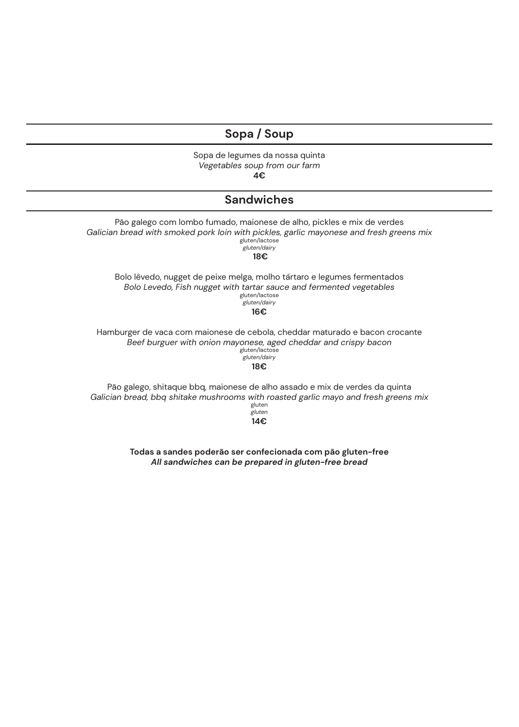# **Sopa / Soup**

Sopa de legumes da nossa quinta *Vegetables soup from our farm* **4€**

## **Sandwiches**

Pão galego com lombo fumado, maionese de alho, pickles e mix de verdes *Galician bread with smoked pork loin with pickles, garlic mayonese and fresh greens mix* gluten/lactose *gluten/dairy* **18€** Bolo lêvedo, nugget de peixe melga, molho tártaro e legumes fermentados *Bolo Levedo, Fish nugget with tartar sauce and fermented vegetables* gluten/lactose *gluten/dairy* **16€** Hamburger de vaca com maionese de cebola, cheddar maturado e bacon crocante *Beef burguer with onion mayonese, aged cheddar and crispy bacon* gluten/lactose *gluten/dairy* **18€** Pão galego, shitaque bbq, maionese de alho assado e mix de verdes da quinta *Galician bread, bbq shitake mushrooms with roasted garlic mayo and fresh greens mix* gluten

**14€**

*gluten*

**Todas a sandes poderão ser confecionada com pão gluten-free** *All sandwiches can be prepared in gluten-free bread*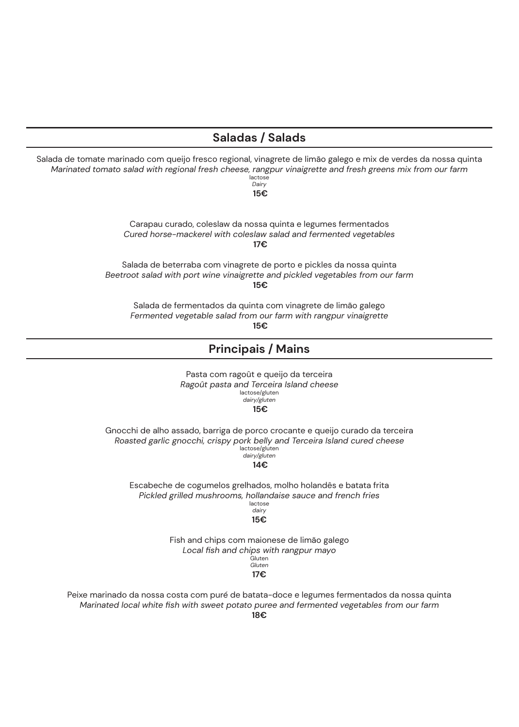## **Saladas / Salads**

Salada de tomate marinado com queijo fresco regional, vinagrete de limão galego e mix de verdes da nossa quinta *Marinated tomato salad with regional fresh cheese, rangpur vinaigrette and fresh greens mix from our farm* lactose

*Dairy* **15€**

Carapau curado, coleslaw da nossa quinta e legumes fermentados *Cured horse-mackerel with coleslaw salad and fermented vegetables* **17€**

Salada de beterraba com vinagrete de porto e pickles da nossa quinta *Beetroot salad with port wine vinaigrette and pickled vegetables from our farm* **15€**

Salada de fermentados da quinta com vinagrete de limão galego *Fermented vegetable salad from our farm with rangpur vinaigrette* **15€**

### **Principais / Mains**

Pasta com ragoût e queijo da terceira *Ragoût pasta and Terceira Island cheese* lactose/gluten *dairy/gluten* **15€**

Gnocchi de alho assado, barriga de porco crocante e queijo curado da terceira *Roasted garlic gnocchi, crispy pork belly and Terceira Island cured cheese* lactose/gluten *dairy/gluten*

**14€**

Escabeche de cogumelos grelhados, molho holandês e batata frita *Pickled grilled mushrooms, hollandaise sauce and french fries* lactose *dairy*

#### **15€**

Fish and chips com maionese de limão galego *Local fish and chips with rangpur mayo* r<br>Gluten *Gluten*

#### **17€**

Peixe marinado da nossa costa com puré de batata-doce e legumes fermentados da nossa quinta *Marinated local white fish with sweet potato puree and fermented vegetables from our farm* **18€**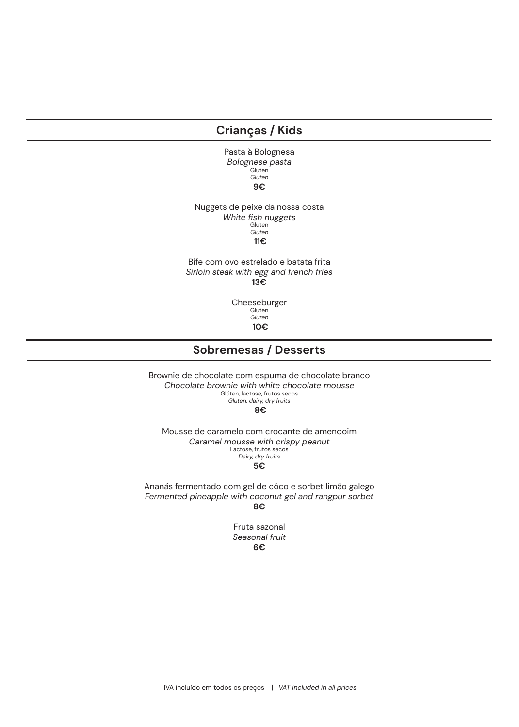## **Crianças / Kids**

Pasta à Bolognesa *Bolognese pasta* Gluten *Gluten* **9€**

Nuggets de peixe da nossa costa *White fish nuggets* Gluten *Gluten* **11€**

Bife com ovo estrelado e batata frita *Sirloin steak with egg and french fries* **13€**

> Cheeseburger Gluten *Gluten* **10€**

## **Sobremesas / Desserts**

Brownie de chocolate com espuma de chocolate branco *Chocolate brownie with white chocolate mousse* Glúten, lactose, frutos secos *Gluten, dairy, dry fruits* **8€**

Mousse de caramelo com crocante de amendoim *Caramel mousse with crispy peanut* Lactose, frutos secos *Dairy, dry fruits* **5€**

Ananás fermentado com gel de côco e sorbet limão galego *Fermented pineapple with coconut gel and rangpur sorbet* **8€**

Fruta sazonal *Seasonal fruit* **6€**